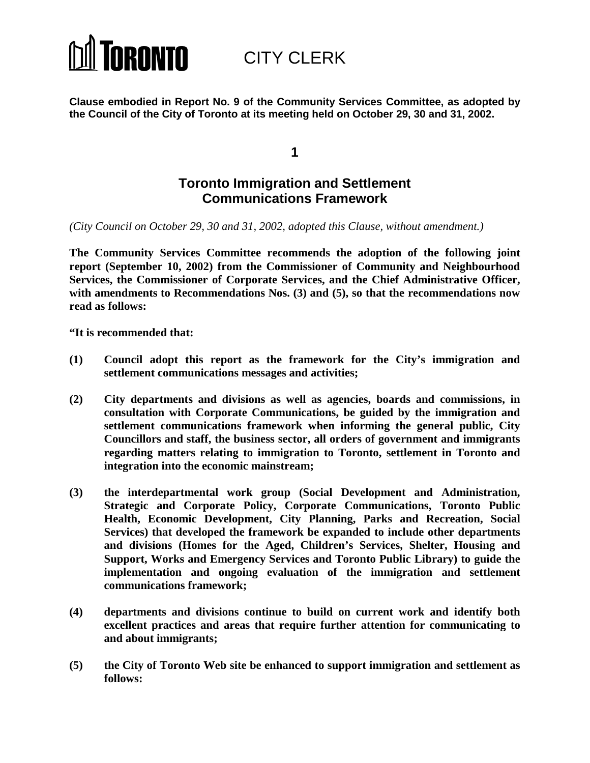# **TORONTO**

CITY CLERK

**Clause embodied in Report No. 9 of the Community Services Committee, as adopted by the Council of the City of Toronto at its meeting held on October 29, 30 and 31, 2002.**

**1**

# **Toronto Immigration and Settlement Communications Framework**

*(City Council on October 29, 30 and 31, 2002, adopted this Clause, without amendment.)*

**The Community Services Committee recommends the adoption of the following joint report (September 10, 2002) from the Commissioner of Community and Neighbourhood Services, the Commissioner of Corporate Services, and the Chief Administrative Officer, with amendments to Recommendations Nos. (3) and (5), so that the recommendations now read as follows:**

**"It is recommended that:**

- **(1) Council adopt this report as the framework for the City's immigration and settlement communications messages and activities;**
- **(2) City departments and divisions as well as agencies, boards and commissions, in consultation with Corporate Communications, be guided by the immigration and settlement communications framework when informing the general public, City Councillors and staff, the business sector, all orders of government and immigrants regarding matters relating to immigration to Toronto, settlement in Toronto and integration into the economic mainstream;**
- **(3) the interdepartmental work group (Social Development and Administration, Strategic and Corporate Policy, Corporate Communications, Toronto Public Health, Economic Development, City Planning, Parks and Recreation, Social Services) that developed the framework be expanded to include other departments and divisions (Homes for the Aged, Children's Services, Shelter, Housing and Support, Works and Emergency Services and Toronto Public Library) to guide the implementation and ongoing evaluation of the immigration and settlement communications framework;**
- **(4) departments and divisions continue to build on current work and identify both excellent practices and areas that require further attention for communicating to and about immigrants;**
- **(5) the City of Toronto Web site be enhanced to support immigration and settlement as follows:**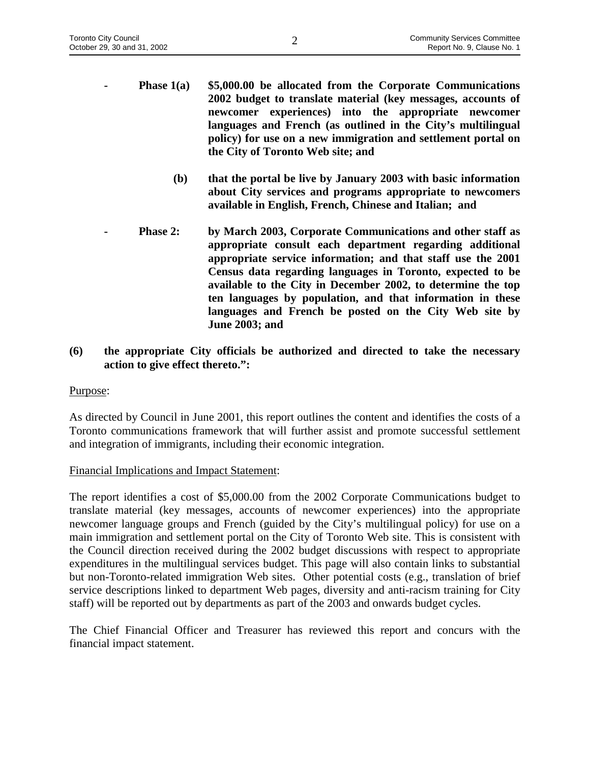- **Phase 1(a) \$5,000.00 be allocated from the Corporate Communications 2002 budget to translate material (key messages, accounts of newcomer experiences) into the appropriate newcomer languages and French (as outlined in the City's multilingual policy) for use on a new immigration and settlement portal on the City of Toronto Web site; and**
	- **(b) that the portal be live by January 2003 with basic information about City services and programs appropriate to newcomers available in English, French, Chinese and Italian; and**
- **Phase 2: by March 2003, Corporate Communications and other staff as appropriate consult each department regarding additional appropriate service information; and that staff use the 2001 Census data regarding languages in Toronto, expected to be available to the City in December 2002, to determine the top ten languages by population, and that information in these languages and French be posted on the City Web site by June 2003; and**
- **(6) the appropriate City officials be authorized and directed to take the necessary action to give effect thereto.":**

# Purpose:

As directed by Council in June 2001, this report outlines the content and identifies the costs of a Toronto communications framework that will further assist and promote successful settlement and integration of immigrants, including their economic integration.

# Financial Implications and Impact Statement:

The report identifies a cost of \$5,000.00 from the 2002 Corporate Communications budget to translate material (key messages, accounts of newcomer experiences) into the appropriate newcomer language groups and French (guided by the City's multilingual policy) for use on a main immigration and settlement portal on the City of Toronto Web site. This is consistent with the Council direction received during the 2002 budget discussions with respect to appropriate expenditures in the multilingual services budget. This page will also contain links to substantial but non-Toronto-related immigration Web sites. Other potential costs (e.g., translation of brief service descriptions linked to department Web pages, diversity and anti-racism training for City staff) will be reported out by departments as part of the 2003 and onwards budget cycles.

The Chief Financial Officer and Treasurer has reviewed this report and concurs with the financial impact statement.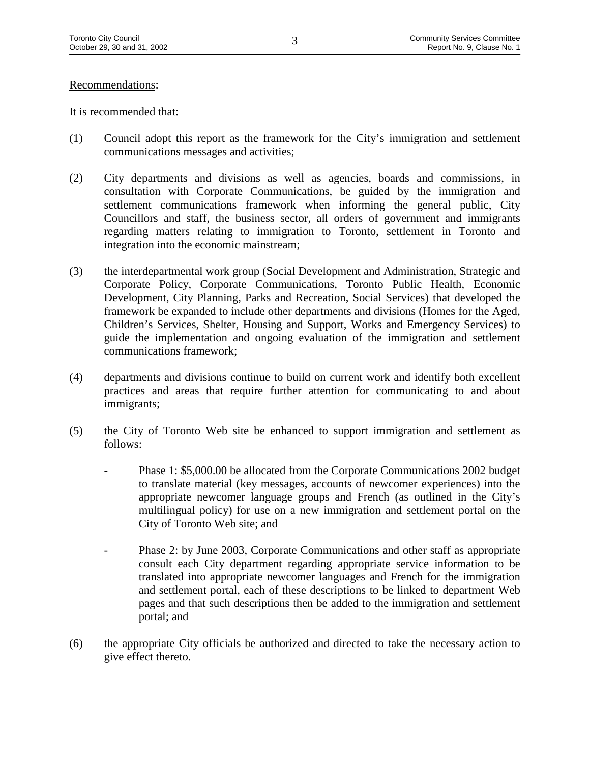# Recommendations:

It is recommended that:

- (1) Council adopt this report as the framework for the City's immigration and settlement communications messages and activities;
- (2) City departments and divisions as well as agencies, boards and commissions, in consultation with Corporate Communications, be guided by the immigration and settlement communications framework when informing the general public, City Councillors and staff, the business sector, all orders of government and immigrants regarding matters relating to immigration to Toronto, settlement in Toronto and integration into the economic mainstream;
- (3) the interdepartmental work group (Social Development and Administration, Strategic and Corporate Policy, Corporate Communications, Toronto Public Health, Economic Development, City Planning, Parks and Recreation, Social Services) that developed the framework be expanded to include other departments and divisions (Homes for the Aged, Children's Services, Shelter, Housing and Support, Works and Emergency Services) to guide the implementation and ongoing evaluation of the immigration and settlement communications framework;
- (4) departments and divisions continue to build on current work and identify both excellent practices and areas that require further attention for communicating to and about immigrants;
- (5) the City of Toronto Web site be enhanced to support immigration and settlement as follows:
	- Phase 1: \$5,000.00 be allocated from the Corporate Communications 2002 budget to translate material (key messages, accounts of newcomer experiences) into the appropriate newcomer language groups and French (as outlined in the City's multilingual policy) for use on a new immigration and settlement portal on the City of Toronto Web site; and
	- Phase 2: by June 2003, Corporate Communications and other staff as appropriate consult each City department regarding appropriate service information to be translated into appropriate newcomer languages and French for the immigration and settlement portal, each of these descriptions to be linked to department Web pages and that such descriptions then be added to the immigration and settlement portal; and
- (6) the appropriate City officials be authorized and directed to take the necessary action to give effect thereto.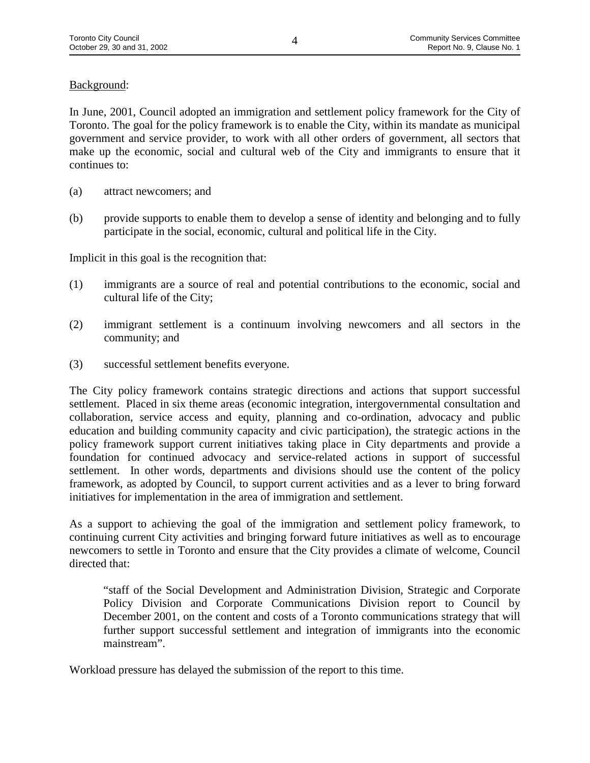# Background:

In June, 2001, Council adopted an immigration and settlement policy framework for the City of Toronto. The goal for the policy framework is to enable the City, within its mandate as municipal government and service provider, to work with all other orders of government, all sectors that make up the economic, social and cultural web of the City and immigrants to ensure that it continues to:

- (a) attract newcomers; and
- (b) provide supports to enable them to develop a sense of identity and belonging and to fully participate in the social, economic, cultural and political life in the City.

Implicit in this goal is the recognition that:

- (1) immigrants are a source of real and potential contributions to the economic, social and cultural life of the City;
- (2) immigrant settlement is a continuum involving newcomers and all sectors in the community; and
- (3) successful settlement benefits everyone.

The City policy framework contains strategic directions and actions that support successful settlement. Placed in six theme areas (economic integration, intergovernmental consultation and collaboration, service access and equity, planning and co-ordination, advocacy and public education and building community capacity and civic participation), the strategic actions in the policy framework support current initiatives taking place in City departments and provide a foundation for continued advocacy and service-related actions in support of successful settlement. In other words, departments and divisions should use the content of the policy framework, as adopted by Council, to support current activities and as a lever to bring forward initiatives for implementation in the area of immigration and settlement.

As a support to achieving the goal of the immigration and settlement policy framework, to continuing current City activities and bringing forward future initiatives as well as to encourage newcomers to settle in Toronto and ensure that the City provides a climate of welcome, Council directed that:

"staff of the Social Development and Administration Division, Strategic and Corporate Policy Division and Corporate Communications Division report to Council by December 2001, on the content and costs of a Toronto communications strategy that will further support successful settlement and integration of immigrants into the economic mainstream".

Workload pressure has delayed the submission of the report to this time.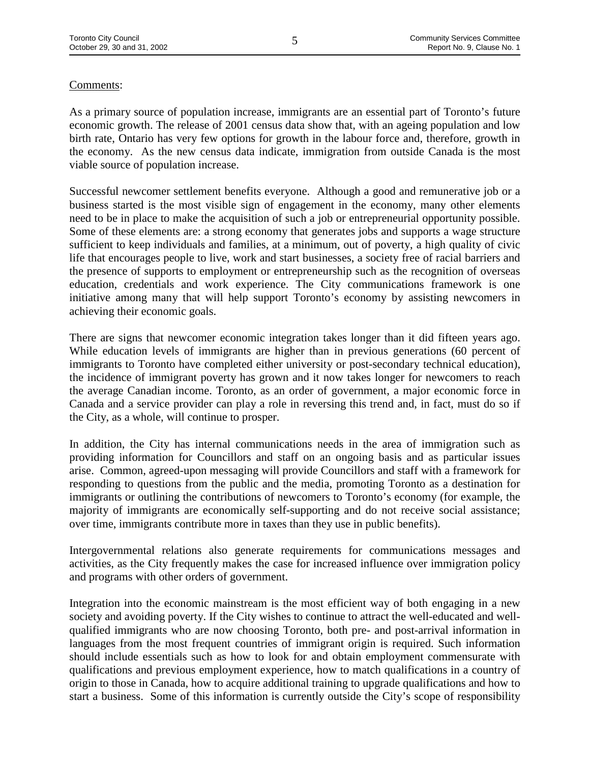# Comments:

As a primary source of population increase, immigrants are an essential part of Toronto's future economic growth. The release of 2001 census data show that, with an ageing population and low birth rate, Ontario has very few options for growth in the labour force and, therefore, growth in the economy. As the new census data indicate, immigration from outside Canada is the most viable source of population increase.

Successful newcomer settlement benefits everyone. Although a good and remunerative job or a business started is the most visible sign of engagement in the economy, many other elements need to be in place to make the acquisition of such a job or entrepreneurial opportunity possible. Some of these elements are: a strong economy that generates jobs and supports a wage structure sufficient to keep individuals and families, at a minimum, out of poverty, a high quality of civic life that encourages people to live, work and start businesses, a society free of racial barriers and the presence of supports to employment or entrepreneurship such as the recognition of overseas education, credentials and work experience. The City communications framework is one initiative among many that will help support Toronto's economy by assisting newcomers in achieving their economic goals.

There are signs that newcomer economic integration takes longer than it did fifteen years ago. While education levels of immigrants are higher than in previous generations (60 percent of immigrants to Toronto have completed either university or post-secondary technical education), the incidence of immigrant poverty has grown and it now takes longer for newcomers to reach the average Canadian income. Toronto, as an order of government, a major economic force in Canada and a service provider can play a role in reversing this trend and, in fact, must do so if the City, as a whole, will continue to prosper.

In addition, the City has internal communications needs in the area of immigration such as providing information for Councillors and staff on an ongoing basis and as particular issues arise. Common, agreed-upon messaging will provide Councillors and staff with a framework for responding to questions from the public and the media, promoting Toronto as a destination for immigrants or outlining the contributions of newcomers to Toronto's economy (for example, the majority of immigrants are economically self-supporting and do not receive social assistance; over time, immigrants contribute more in taxes than they use in public benefits).

Intergovernmental relations also generate requirements for communications messages and activities, as the City frequently makes the case for increased influence over immigration policy and programs with other orders of government.

Integration into the economic mainstream is the most efficient way of both engaging in a new society and avoiding poverty. If the City wishes to continue to attract the well-educated and wellqualified immigrants who are now choosing Toronto, both pre- and post-arrival information in languages from the most frequent countries of immigrant origin is required. Such information should include essentials such as how to look for and obtain employment commensurate with qualifications and previous employment experience, how to match qualifications in a country of origin to those in Canada, how to acquire additional training to upgrade qualifications and how to start a business. Some of this information is currently outside the City's scope of responsibility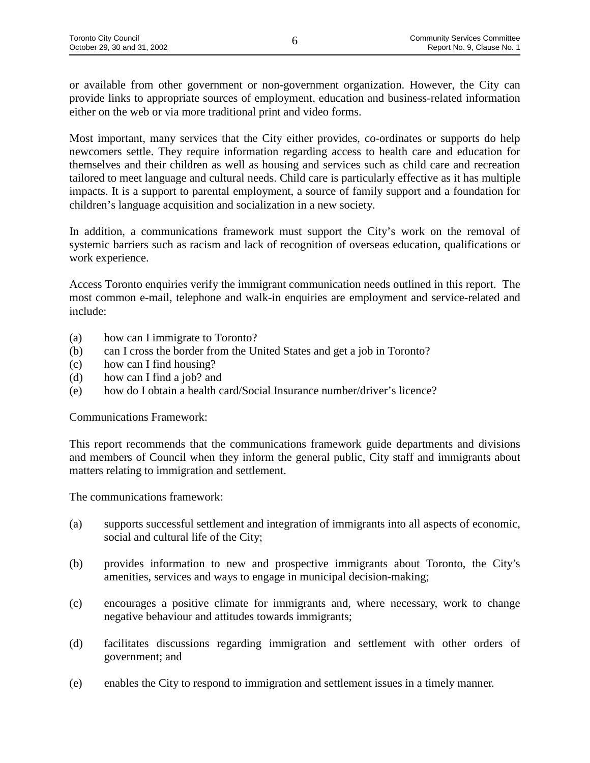or available from other government or non-government organization. However, the City can provide links to appropriate sources of employment, education and business-related information either on the web or via more traditional print and video forms.

Most important, many services that the City either provides, co-ordinates or supports do help newcomers settle. They require information regarding access to health care and education for themselves and their children as well as housing and services such as child care and recreation tailored to meet language and cultural needs. Child care is particularly effective as it has multiple impacts. It is a support to parental employment, a source of family support and a foundation for children's language acquisition and socialization in a new society.

In addition, a communications framework must support the City's work on the removal of systemic barriers such as racism and lack of recognition of overseas education, qualifications or work experience.

Access Toronto enquiries verify the immigrant communication needs outlined in this report. The most common e-mail, telephone and walk-in enquiries are employment and service-related and include:

- (a) how can I immigrate to Toronto?
- (b) can I cross the border from the United States and get a job in Toronto?
- (c) how can I find housing?
- (d) how can I find a job? and
- (e) how do I obtain a health card/Social Insurance number/driver's licence?

Communications Framework:

This report recommends that the communications framework guide departments and divisions and members of Council when they inform the general public, City staff and immigrants about matters relating to immigration and settlement.

The communications framework:

- (a) supports successful settlement and integration of immigrants into all aspects of economic, social and cultural life of the City;
- (b) provides information to new and prospective immigrants about Toronto, the City's amenities, services and ways to engage in municipal decision-making;
- (c) encourages a positive climate for immigrants and, where necessary, work to change negative behaviour and attitudes towards immigrants;
- (d) facilitates discussions regarding immigration and settlement with other orders of government; and
- (e) enables the City to respond to immigration and settlement issues in a timely manner.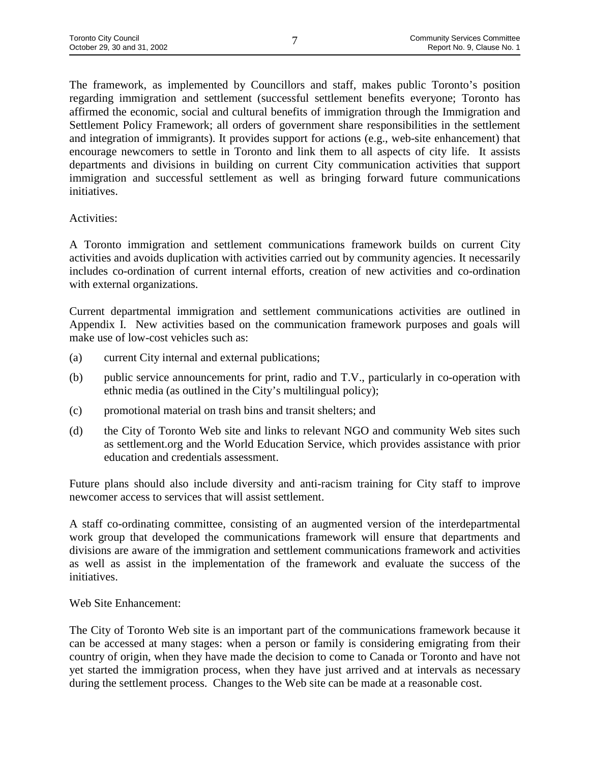The framework, as implemented by Councillors and staff, makes public Toronto's position regarding immigration and settlement (successful settlement benefits everyone; Toronto has affirmed the economic, social and cultural benefits of immigration through the Immigration and Settlement Policy Framework; all orders of government share responsibilities in the settlement and integration of immigrants). It provides support for actions (e.g., web-site enhancement) that encourage newcomers to settle in Toronto and link them to all aspects of city life. It assists departments and divisions in building on current City communication activities that support immigration and successful settlement as well as bringing forward future communications initiatives.

# Activities:

A Toronto immigration and settlement communications framework builds on current City activities and avoids duplication with activities carried out by community agencies. It necessarily includes co-ordination of current internal efforts, creation of new activities and co-ordination with external organizations.

Current departmental immigration and settlement communications activities are outlined in Appendix I. New activities based on the communication framework purposes and goals will make use of low-cost vehicles such as:

- (a) current City internal and external publications;
- (b) public service announcements for print, radio and T.V., particularly in co-operation with ethnic media (as outlined in the City's multilingual policy);
- (c) promotional material on trash bins and transit shelters; and
- (d) the City of Toronto Web site and links to relevant NGO and community Web sites such as settlement.org and the World Education Service, which provides assistance with prior education and credentials assessment.

Future plans should also include diversity and anti-racism training for City staff to improve newcomer access to services that will assist settlement.

A staff co-ordinating committee, consisting of an augmented version of the interdepartmental work group that developed the communications framework will ensure that departments and divisions are aware of the immigration and settlement communications framework and activities as well as assist in the implementation of the framework and evaluate the success of the initiatives.

Web Site Enhancement:

The City of Toronto Web site is an important part of the communications framework because it can be accessed at many stages: when a person or family is considering emigrating from their country of origin, when they have made the decision to come to Canada or Toronto and have not yet started the immigration process, when they have just arrived and at intervals as necessary during the settlement process. Changes to the Web site can be made at a reasonable cost.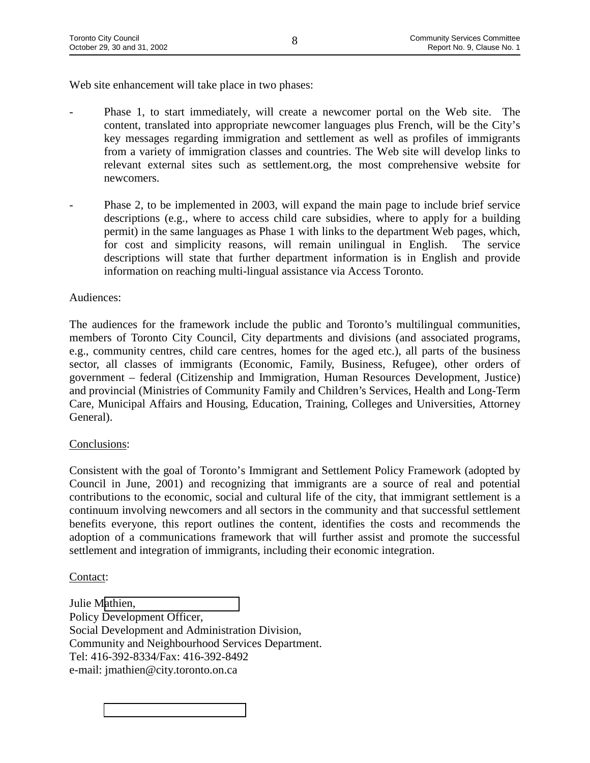Web site enhancement will take place in two phases:

- Phase 1, to start immediately, will create a newcomer portal on the Web site. The content, translated into appropriate newcomer languages plus French, will be the City's key messages regarding immigration and settlement as well as profiles of immigrants from a variety of immigration classes and countries. The Web site will develop links to relevant external sites such as settlement.org, the most comprehensive website for newcomers.
	- Phase 2, to be implemented in 2003, will expand the main page to include brief service descriptions (e.g., where to access child care subsidies, where to apply for a building permit) in the same languages as Phase 1 with links to the department Web pages, which, for cost and simplicity reasons, will remain unilingual in English. The service descriptions will state that further department information is in English and provide information on reaching multi-lingual assistance via Access Toronto.

# Audiences:

The audiences for the framework include the public and Toronto's multilingual communities, members of Toronto City Council, City departments and divisions (and associated programs, e.g., community centres, child care centres, homes for the aged etc.), all parts of the business sector, all classes of immigrants (Economic, Family, Business, Refugee), other orders of government – federal (Citizenship and Immigration, Human Resources Development, Justice) and provincial (Ministries of Community Family and Children's Services, Health and Long-Term Care, Municipal Affairs and Housing, Education, Training, Colleges and Universities, Attorney General).

# Conclusions:

Consistent with the goal of Toronto's Immigrant and Settlement Policy Framework (adopted by Council in June, 2001) and recognizing that immigrants are a source of real and potential contributions to the economic, social and cultural life of the city, that immigrant settlement is a continuum involving newcomers and all sectors in the community and that successful settlement benefits everyone, this report outlines the content, identifies the costs and recommends the adoption of a communications framework that will further assist and promote the successful settlement and integration of immigrants, including their economic integration.

# Contact:

Julie M[athien,](mailto:jmathien@city.toronto.on.ca) Policy Development Officer, Social Development and Administration Division, Community and Neighbourhood Services Department. Tel: 416-392-8334/Fax: 416-392-8492 e-mail: jmathien@city.toronto.on.ca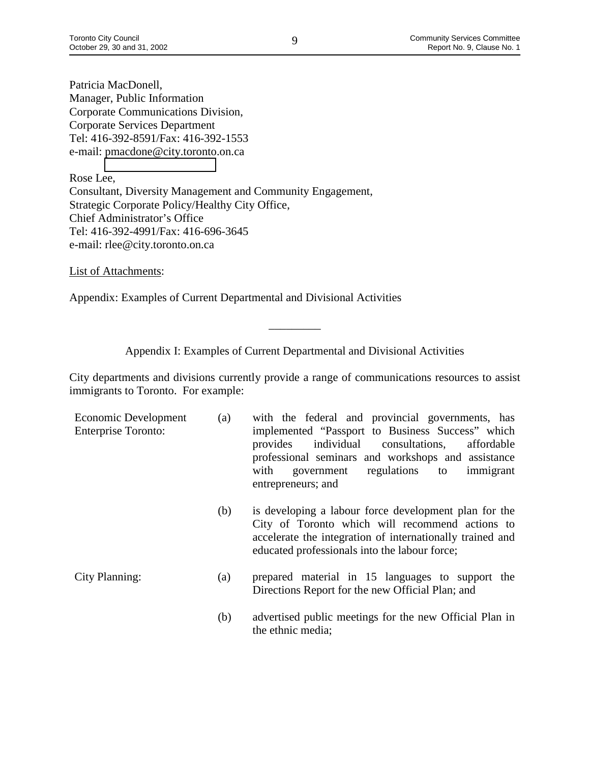Patricia MacDonell, Manager, Public Information Corporate Communications Division, Corporate Services Department Tel: 416-392-8591/Fax: 416-392-1553 e-mail: pmacdone@city.toronto.on.ca

Rose Lee, Consultant, Diversity Management and Community Engagement, Strategic Corporate Policy/Healthy City Office, Chief Administrator's Office Tel: 416-392-4991/Fax: 416-696-3645 e-mail: rlee@city.toronto.on.ca

List of Attachments:

Appendix: Examples of Current Departmental and Divisional Activities

Appendix I: Examples of Current Departmental and Divisional Activities

\_\_\_\_\_\_\_\_\_

City departments and divisions currently provide a range of communications resources to assist immigrants to Toronto. For example:

| Economic Development<br><b>Enterprise Toronto:</b> | (a) | with the federal and provincial governments, has<br>implemented "Passport to Business Success" which<br>individual<br>consultations,<br>provides<br>affordable<br>professional seminars and workshops and assistance<br>government regulations to<br>with<br>immigrant<br>entrepreneurs; and |
|----------------------------------------------------|-----|----------------------------------------------------------------------------------------------------------------------------------------------------------------------------------------------------------------------------------------------------------------------------------------------|
|                                                    | (b) | is developing a labour force development plan for the<br>City of Toronto which will recommend actions to<br>accelerate the integration of internationally trained and<br>educated professionals into the labour force;                                                                       |
| <b>City Planning:</b>                              | (a) | prepared material in 15 languages to support the<br>Directions Report for the new Official Plan; and                                                                                                                                                                                         |
|                                                    | (b) | advertised public meetings for the new Official Plan in<br>the ethnic media;                                                                                                                                                                                                                 |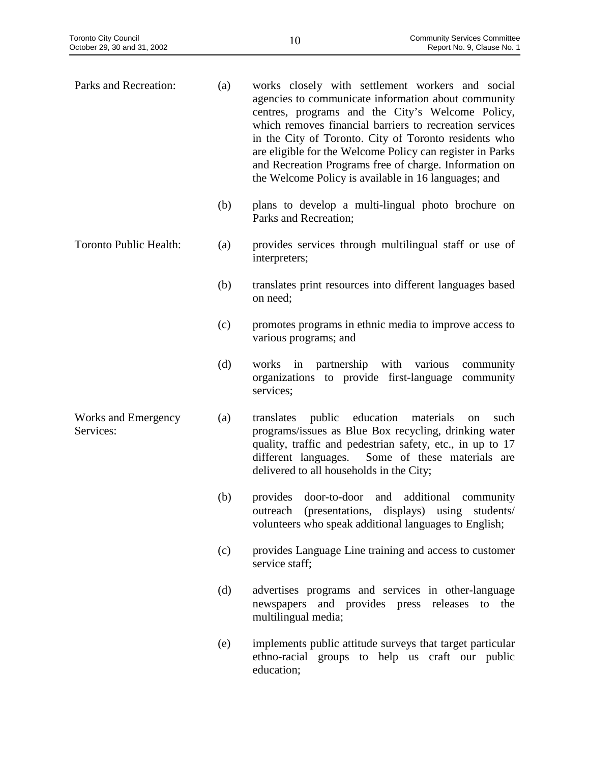| Parks and Recreation:            | (a) | works closely with settlement workers and social<br>agencies to communicate information about community<br>centres, programs and the City's Welcome Policy,<br>which removes financial barriers to recreation services<br>in the City of Toronto. City of Toronto residents who<br>are eligible for the Welcome Policy can register in Parks<br>and Recreation Programs free of charge. Information on<br>the Welcome Policy is available in 16 languages; and |
|----------------------------------|-----|----------------------------------------------------------------------------------------------------------------------------------------------------------------------------------------------------------------------------------------------------------------------------------------------------------------------------------------------------------------------------------------------------------------------------------------------------------------|
|                                  | (b) | plans to develop a multi-lingual photo brochure on<br>Parks and Recreation;                                                                                                                                                                                                                                                                                                                                                                                    |
| <b>Toronto Public Health:</b>    | (a) | provides services through multilingual staff or use of<br>interpreters;                                                                                                                                                                                                                                                                                                                                                                                        |
|                                  | (b) | translates print resources into different languages based<br>on need;                                                                                                                                                                                                                                                                                                                                                                                          |
|                                  | (c) | promotes programs in ethnic media to improve access to<br>various programs; and                                                                                                                                                                                                                                                                                                                                                                                |
|                                  | (d) | in partnership with various<br>works<br>community<br>organizations to provide first-language<br>community<br>services;                                                                                                                                                                                                                                                                                                                                         |
| Works and Emergency<br>Services: | (a) | education<br>public<br>materials<br>such<br>translates<br>on<br>programs/issues as Blue Box recycling, drinking water<br>quality, traffic and pedestrian safety, etc., in up to 17<br>Some of these materials are<br>different languages.<br>delivered to all households in the City;                                                                                                                                                                          |
|                                  | (b) | door-to-door and additional community<br>provides<br>outreach (presentations, displays) using students/<br>volunteers who speak additional languages to English;                                                                                                                                                                                                                                                                                               |
|                                  | (c) | provides Language Line training and access to customer<br>service staff;                                                                                                                                                                                                                                                                                                                                                                                       |
|                                  | (d) | advertises programs and services in other-language<br>newspapers and provides press releases to the<br>multilingual media;                                                                                                                                                                                                                                                                                                                                     |
|                                  | (e) | implements public attitude surveys that target particular<br>ethno-racial groups to help us craft our public<br>education;                                                                                                                                                                                                                                                                                                                                     |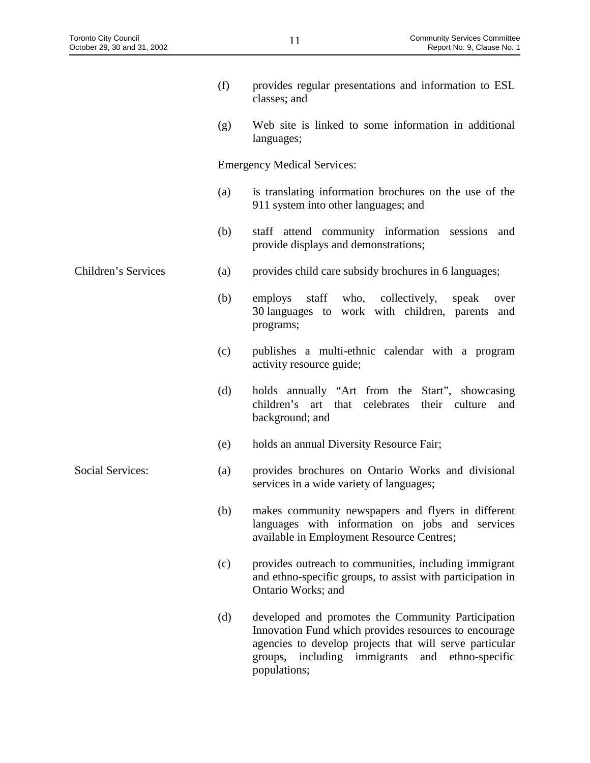|                         | (f) | provides regular presentations and information to ESL<br>classes; and                                                                                                                                                                           |
|-------------------------|-----|-------------------------------------------------------------------------------------------------------------------------------------------------------------------------------------------------------------------------------------------------|
|                         | (g) | Web site is linked to some information in additional<br>languages;                                                                                                                                                                              |
|                         |     | <b>Emergency Medical Services:</b>                                                                                                                                                                                                              |
|                         | (a) | is translating information brochures on the use of the<br>911 system into other languages; and                                                                                                                                                  |
|                         | (b) | staff attend community information sessions<br>and<br>provide displays and demonstrations;                                                                                                                                                      |
| Children's Services     | (a) | provides child care subsidy brochures in 6 languages;                                                                                                                                                                                           |
|                         | (b) | staff who, collectively,<br>employs<br>speak<br>over<br>30 languages to work with children, parents and<br>programs;                                                                                                                            |
|                         | (c) | publishes a multi-ethnic calendar with a program<br>activity resource guide;                                                                                                                                                                    |
|                         | (d) | holds annually "Art from the Start", showcasing<br>children's art<br>that celebrates their culture<br>and<br>background; and                                                                                                                    |
|                         | (e) | holds an annual Diversity Resource Fair;                                                                                                                                                                                                        |
| <b>Social Services:</b> | (a) | provides brochures on Ontario Works and divisional<br>services in a wide variety of languages;                                                                                                                                                  |
|                         | (b) | makes community newspapers and flyers in different<br>languages with information on jobs and services<br>available in Employment Resource Centres;                                                                                              |
|                         | (c) | provides outreach to communities, including immigrant<br>and ethno-specific groups, to assist with participation in<br>Ontario Works; and                                                                                                       |
|                         | (d) | developed and promotes the Community Participation<br>Innovation Fund which provides resources to encourage<br>agencies to develop projects that will serve particular<br>including immigrants<br>and ethno-specific<br>groups,<br>populations; |